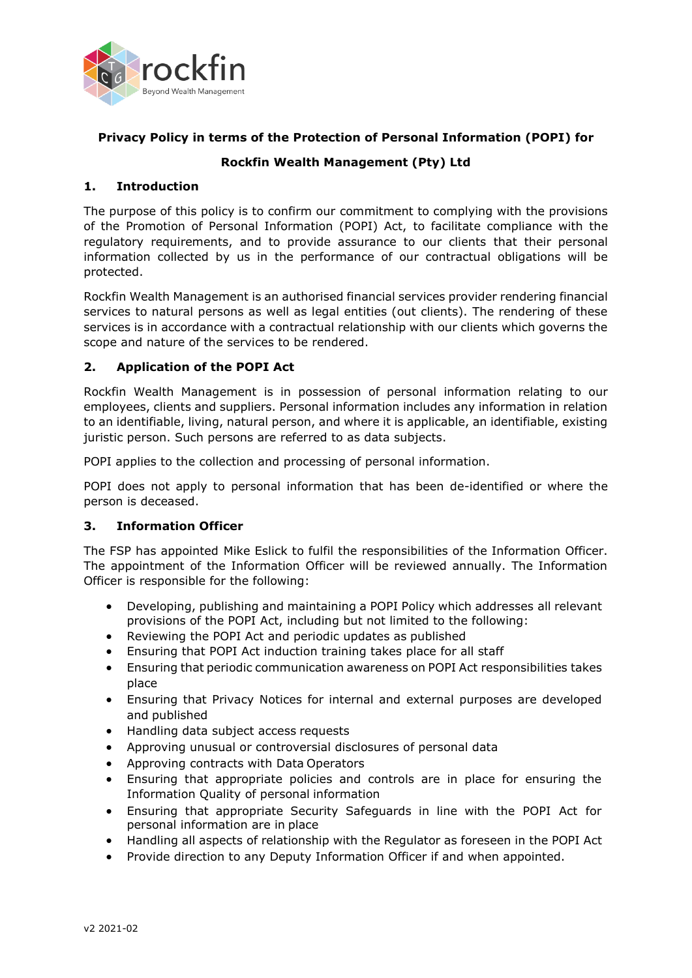

# **Privacy Policy in terms of the Protection of Personal Information (POPI) for**

# **Rockfin Wealth Management (Pty) Ltd**

## **1. Introduction**

The purpose of this policy is to confirm our commitment to complying with the provisions of the Promotion of Personal Information (POPI) Act, to facilitate compliance with the regulatory requirements, and to provide assurance to our clients that their personal information collected by us in the performance of our contractual obligations will be protected.

Rockfin Wealth Management is an authorised financial services provider rendering financial services to natural persons as well as legal entities (out clients). The rendering of these services is in accordance with a contractual relationship with our clients which governs the scope and nature of the services to be rendered.

### **2. Application of the POPI Act**

Rockfin Wealth Management is in possession of personal information relating to our employees, clients and suppliers. Personal information includes any information in relation to an identifiable, living, natural person, and where it is applicable, an identifiable, existing juristic person. Such persons are referred to as data subjects.

POPI applies to the collection and processing of personal information.

POPI does not apply to personal information that has been de-identified or where the person is deceased.

## **3. Information Officer**

The FSP has appointed Mike Eslick to fulfil the responsibilities of the Information Officer. The appointment of the Information Officer will be reviewed annually. The Information Officer is responsible for the following:

- Developing, publishing and maintaining a POPI Policy which addresses all relevant provisions of the POPI Act, including but not limited to the following:
- Reviewing the POPI Act and periodic updates as published
- Ensuring that POPI Act induction training takes place for all staff
- Ensuring that periodic communication awareness on POPI Act responsibilities takes place
- Ensuring that Privacy Notices for internal and external purposes are developed and published
- Handling data subject access requests
- Approving unusual or controversial disclosures of personal data
- Approving contracts with Data Operators
- Ensuring that appropriate policies and controls are in place for ensuring the Information Quality of personal information
- Ensuring that appropriate Security Safeguards in line with the POPI Act for personal information are in place
- Handling all aspects of relationship with the Regulator as foreseen in the POPI Act
- Provide direction to any Deputy Information Officer if and when appointed.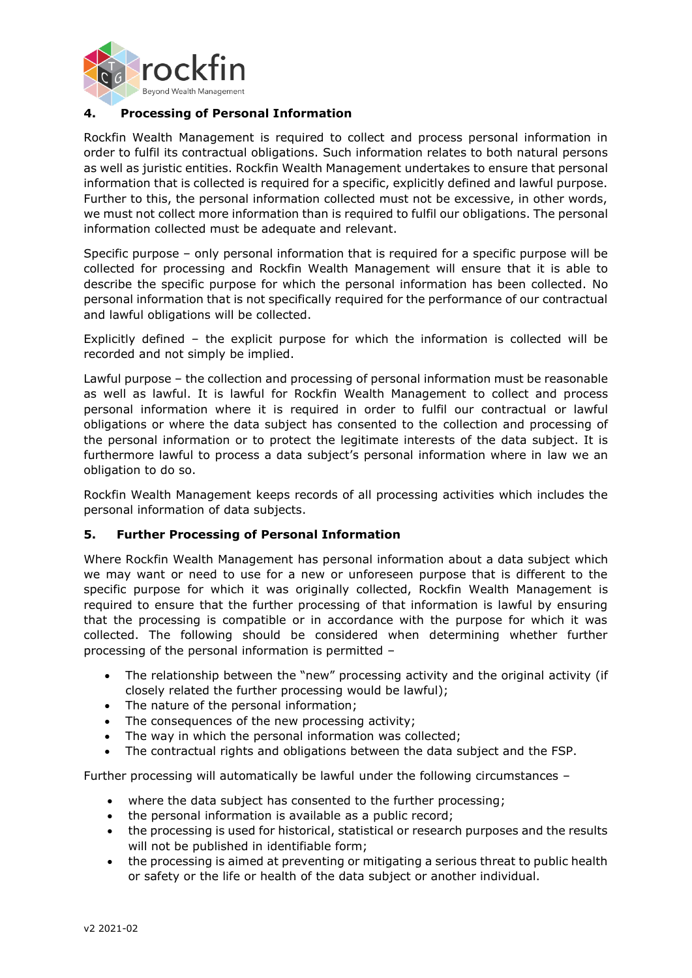

# **4. Processing of Personal Information**

Rockfin Wealth Management is required to collect and process personal information in order to fulfil its contractual obligations. Such information relates to both natural persons as well as juristic entities. Rockfin Wealth Management undertakes to ensure that personal information that is collected is required for a specific, explicitly defined and lawful purpose. Further to this, the personal information collected must not be excessive, in other words, we must not collect more information than is required to fulfil our obligations. The personal information collected must be adequate and relevant.

Specific purpose – only personal information that is required for a specific purpose will be collected for processing and Rockfin Wealth Management will ensure that it is able to describe the specific purpose for which the personal information has been collected. No personal information that is not specifically required for the performance of our contractual and lawful obligations will be collected.

Explicitly defined – the explicit purpose for which the information is collected will be recorded and not simply be implied.

Lawful purpose – the collection and processing of personal information must be reasonable as well as lawful. It is lawful for Rockfin Wealth Management to collect and process personal information where it is required in order to fulfil our contractual or lawful obligations or where the data subject has consented to the collection and processing of the personal information or to protect the legitimate interests of the data subject. It is furthermore lawful to process a data subject's personal information where in law we an obligation to do so.

Rockfin Wealth Management keeps records of all processing activities which includes the personal information of data subjects.

#### **5. Further Processing of Personal Information**

Where Rockfin Wealth Management has personal information about a data subject which we may want or need to use for a new or unforeseen purpose that is different to the specific purpose for which it was originally collected, Rockfin Wealth Management is required to ensure that the further processing of that information is lawful by ensuring that the processing is compatible or in accordance with the purpose for which it was collected. The following should be considered when determining whether further processing of the personal information is permitted –

- The relationship between the "new" processing activity and the original activity (if closely related the further processing would be lawful);
- The nature of the personal information;
- The consequences of the new processing activity;
- The way in which the personal information was collected;
- The contractual rights and obligations between the data subject and the FSP.

Further processing will automatically be lawful under the following circumstances –

- where the data subject has consented to the further processing;
- the personal information is available as a public record;
- the processing is used for historical, statistical or research purposes and the results will not be published in identifiable form;
- the processing is aimed at preventing or mitigating a serious threat to public health or safety or the life or health of the data subject or another individual.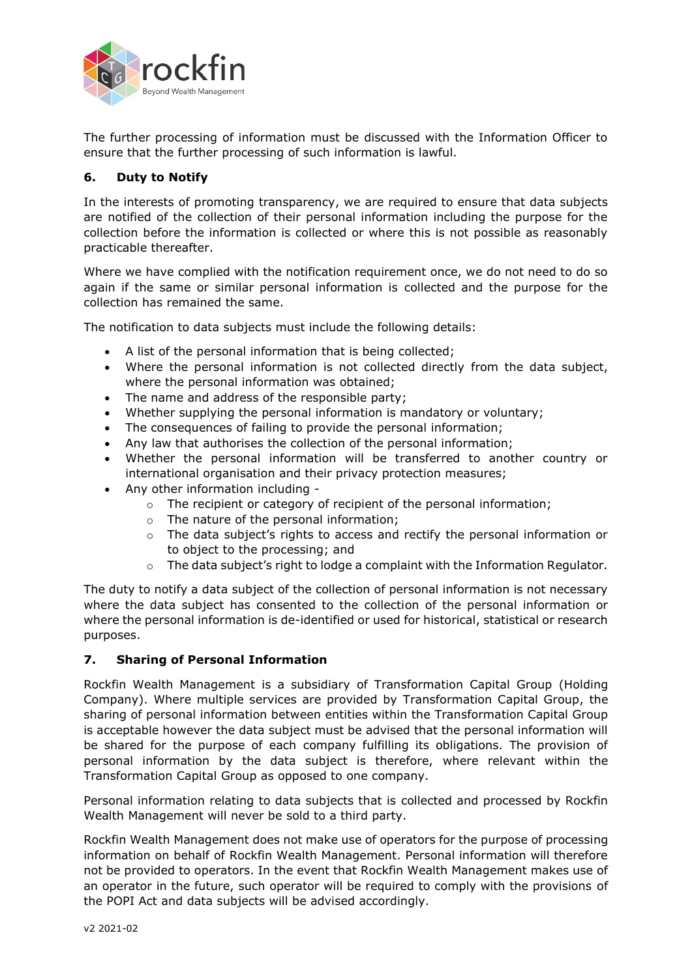

The further processing of information must be discussed with the Information Officer to ensure that the further processing of such information is lawful.

## **6. Duty to Notify**

In the interests of promoting transparency, we are required to ensure that data subjects are notified of the collection of their personal information including the purpose for the collection before the information is collected or where this is not possible as reasonably practicable thereafter.

Where we have complied with the notification requirement once, we do not need to do so again if the same or similar personal information is collected and the purpose for the collection has remained the same.

The notification to data subjects must include the following details:

- A list of the personal information that is being collected;
- Where the personal information is not collected directly from the data subject, where the personal information was obtained;
- The name and address of the responsible party;
- Whether supplying the personal information is mandatory or voluntary;
- The consequences of failing to provide the personal information;
- Any law that authorises the collection of the personal information;
- Whether the personal information will be transferred to another country or international organisation and their privacy protection measures;
- Any other information including
	- o The recipient or category of recipient of the personal information;
	- o The nature of the personal information;
	- o The data subject's rights to access and rectify the personal information or to object to the processing; and
	- o The data subject's right to lodge a complaint with the Information Regulator.

The duty to notify a data subject of the collection of personal information is not necessary where the data subject has consented to the collection of the personal information or where the personal information is de-identified or used for historical, statistical or research purposes.

#### **7. Sharing of Personal Information**

Rockfin Wealth Management is a subsidiary of Transformation Capital Group (Holding Company). Where multiple services are provided by Transformation Capital Group, the sharing of personal information between entities within the Transformation Capital Group is acceptable however the data subject must be advised that the personal information will be shared for the purpose of each company fulfilling its obligations. The provision of personal information by the data subject is therefore, where relevant within the Transformation Capital Group as opposed to one company.

Personal information relating to data subjects that is collected and processed by Rockfin Wealth Management will never be sold to a third party.

Rockfin Wealth Management does not make use of operators for the purpose of processing information on behalf of Rockfin Wealth Management. Personal information will therefore not be provided to operators. In the event that Rockfin Wealth Management makes use of an operator in the future, such operator will be required to comply with the provisions of the POPI Act and data subjects will be advised accordingly.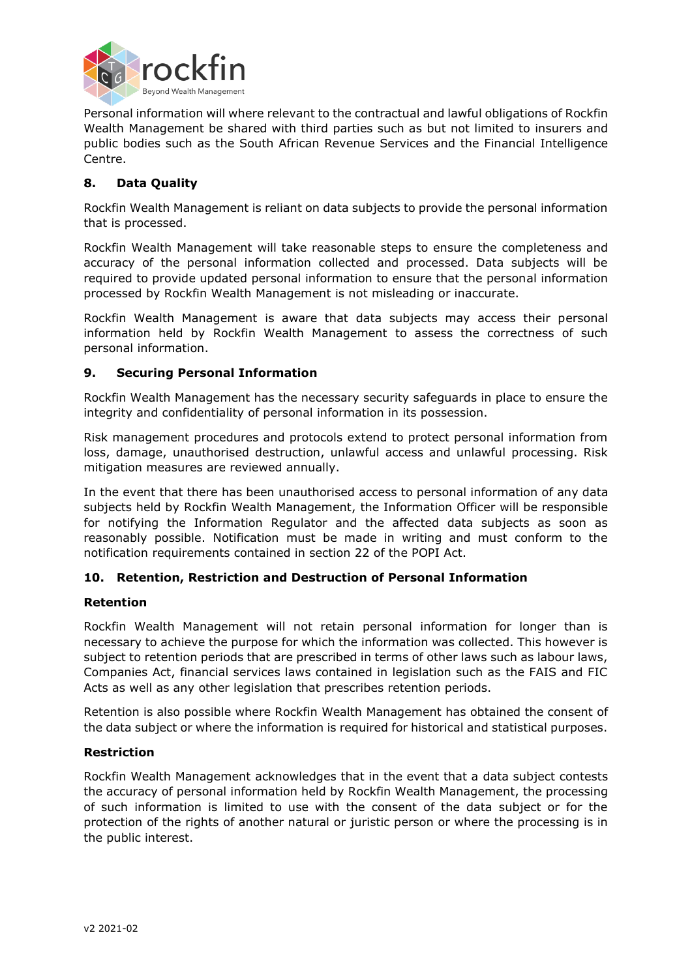

Personal information will where relevant to the contractual and lawful obligations of Rockfin Wealth Management be shared with third parties such as but not limited to insurers and public bodies such as the South African Revenue Services and the Financial Intelligence Centre.

# **8. Data Quality**

Rockfin Wealth Management is reliant on data subjects to provide the personal information that is processed.

Rockfin Wealth Management will take reasonable steps to ensure the completeness and accuracy of the personal information collected and processed. Data subjects will be required to provide updated personal information to ensure that the personal information processed by Rockfin Wealth Management is not misleading or inaccurate.

Rockfin Wealth Management is aware that data subjects may access their personal information held by Rockfin Wealth Management to assess the correctness of such personal information.

### **9. Securing Personal Information**

Rockfin Wealth Management has the necessary security safeguards in place to ensure the integrity and confidentiality of personal information in its possession.

Risk management procedures and protocols extend to protect personal information from loss, damage, unauthorised destruction, unlawful access and unlawful processing. Risk mitigation measures are reviewed annually.

In the event that there has been unauthorised access to personal information of any data subjects held by Rockfin Wealth Management, the Information Officer will be responsible for notifying the Information Regulator and the affected data subjects as soon as reasonably possible. Notification must be made in writing and must conform to the notification requirements contained in section 22 of the POPI Act.

## **10. Retention, Restriction and Destruction of Personal Information**

#### **Retention**

Rockfin Wealth Management will not retain personal information for longer than is necessary to achieve the purpose for which the information was collected. This however is subject to retention periods that are prescribed in terms of other laws such as labour laws, Companies Act, financial services laws contained in legislation such as the FAIS and FIC Acts as well as any other legislation that prescribes retention periods.

Retention is also possible where Rockfin Wealth Management has obtained the consent of the data subject or where the information is required for historical and statistical purposes.

#### **Restriction**

Rockfin Wealth Management acknowledges that in the event that a data subject contests the accuracy of personal information held by Rockfin Wealth Management, the processing of such information is limited to use with the consent of the data subject or for the protection of the rights of another natural or juristic person or where the processing is in the public interest.